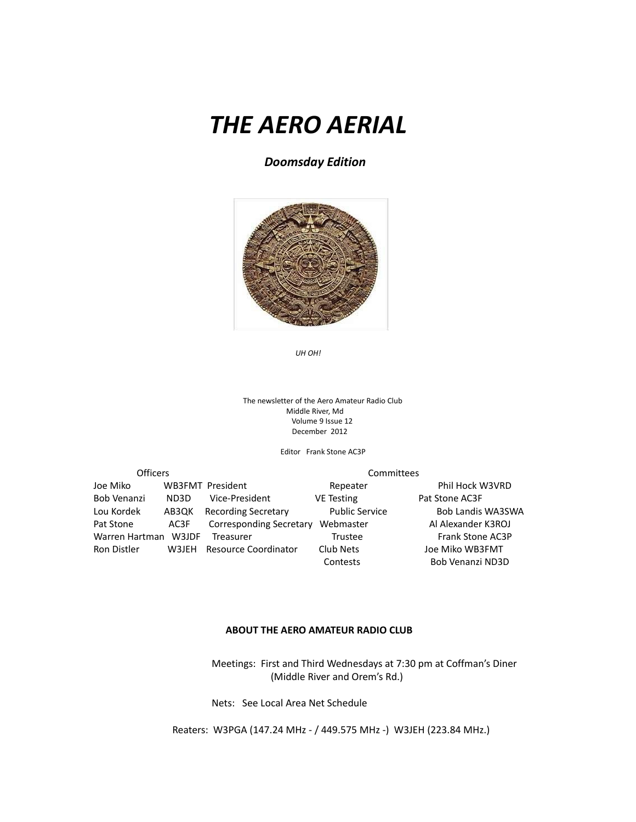# *THE AERO AERIAL*

*Doomsday Edition*



The newsletter of the Aero Amateur Radio Club Middle River, Md Volume 9 Issue 12 December 2012

Editor Frank Stone AC3P

| <b>Officers</b> |       |                            | Committees            |                          |  |
|-----------------|-------|----------------------------|-----------------------|--------------------------|--|
| Joe Miko        |       | <b>WB3FMT</b> President    | Repeater              | Phil Hock W3VRD          |  |
| Bob Venanzi     | ND3D  | Vice-President             | <b>VE Testing</b>     | Pat Stone AC3F           |  |
| Lou Kordek      | AB3QK | <b>Recording Secretary</b> | <b>Public Service</b> | <b>Bob Landis WA3SWA</b> |  |
| Pat Stone       | AC3F  | Corresponding Secretary    | Webmaster             | Al Alexander K3ROJ       |  |
| Warren Hartman  | W3JDF | Treasurer                  | <b>Trustee</b>        | <b>Frank Stone AC3P</b>  |  |
| Ron Distler     | W3JEH | Resource Coordinator       | Club Nets             | Joe Miko WB3FMT          |  |
|                 |       |                            | Contests              | Bob Venanzi ND3D         |  |

#### **ABOUT THE AERO AMATEUR RADIO CLUB**

 Meetings: First and Third Wednesdays at 7:30 pm at Coffman's Diner (Middle River and Orem's Rd.)

Nets: See Local Area Net Schedule

Reaters: W3PGA (147.24 MHz - / 449.575 MHz -) W3JEH (223.84 MHz.)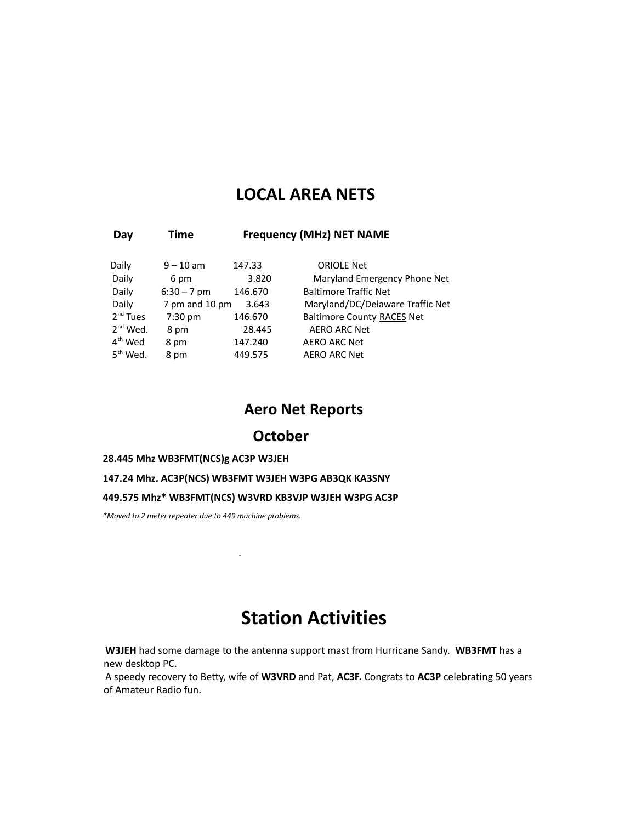### **LOCAL AREA NETS**

#### **Day Time Frequency (MHz) NET NAME**

| Daily         | $9 - 10$ am    | 147.33  | <b>ORIOLE Net</b>                 |
|---------------|----------------|---------|-----------------------------------|
| Daily         | 6 pm           | 3.820   | Maryland Emergency Phone Net      |
| Daily         | $6:30 - 7$ pm  | 146.670 | <b>Baltimore Traffic Net</b>      |
| Daily         | 7 pm and 10 pm | 3.643   | Maryland/DC/Delaware Traffic Net  |
| $2nd$ Tues    | $7:30$ pm      | 146.670 | <b>Baltimore County RACES Net</b> |
| $2^{nd}$ Wed. | 8 pm           | 28.445  | <b>AERO ARC Net</b>               |
| $4th$ Wed     | 8 pm           | 147.240 | <b>AERO ARC Net</b>               |
| $5th$ Wed.    | 8 pm           | 449.575 | <b>AERO ARC Net</b>               |

### **Aero Net Reports**

### **October**

#### **28.445 Mhz WB3FMT(NCS)g AC3P W3JEH**

#### **147.24 Mhz. AC3P(NCS) WB3FMT W3JEH W3PG AB3QK KA3SNY**

#### **449.575 Mhz\* WB3FMT(NCS) W3VRD KB3VJP W3JEH W3PG AC3P**

*\*Moved to 2 meter repeater due to 449 machine problems.*

.

## **Station Activities**

**W3JEH** had some damage to the antenna support mast from Hurricane Sandy. **WB3FMT** has a new desktop PC.

A speedy recovery to Betty, wife of **W3VRD** and Pat, **AC3F.** Congrats to **AC3P** celebrating 50 years of Amateur Radio fun.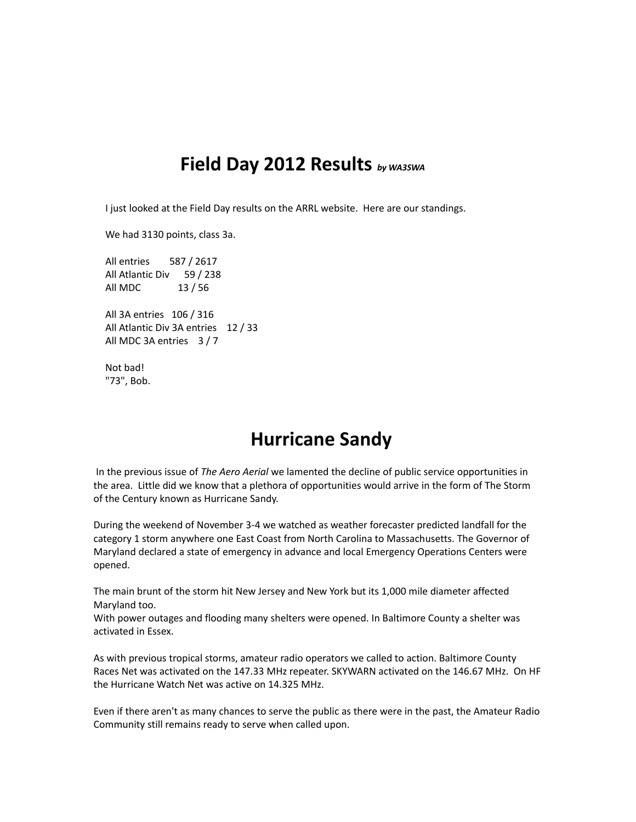## **Field Day 2012 Results** *by WA3SWA*

I just looked at the Field Day results on the ARRL website. Here are our standings.

We had 3130 points, class 3a.

All entries 587 / 2617 All Atlantic Div 59 / 238 All MDC 13 / 56

All 3A entries 106 / 316 All Atlantic Div 3A entries 12 / 33 All MDC 3A entries 3 / 7

Not bad! "73", Bob.

## **Hurricane Sandy**

 In the previous issue of *The Aero Aerial* we lamented the decline of public service opportunities in the area. Little did we know that a plethora of opportunities would arrive in the form of The Storm of the Century known as Hurricane Sandy.

During the weekend of November 3-4 we watched as weather forecaster predicted landfall for the category 1 storm anywhere one East Coast from North Carolina to Massachusetts. The Governor of Maryland declared a state of emergency in advance and local Emergency Operations Centers were opened.

The main brunt of the storm hit New Jersey and New York but its 1,000 mile diameter affected Maryland too.

With power outages and flooding many shelters were opened. In Baltimore County a shelter was activated in Essex.

As with previous tropical storms, amateur radio operators we called to action. Baltimore County Races Net was activated on the 147.33 MHz repeater. SKYWARN activated on the 146.67 MHz. On HF the Hurricane Watch Net was active on 14.325 MHz.

Even if there aren't as many chances to serve the public as there were in the past, the Amateur Radio Community still remains ready to serve when called upon.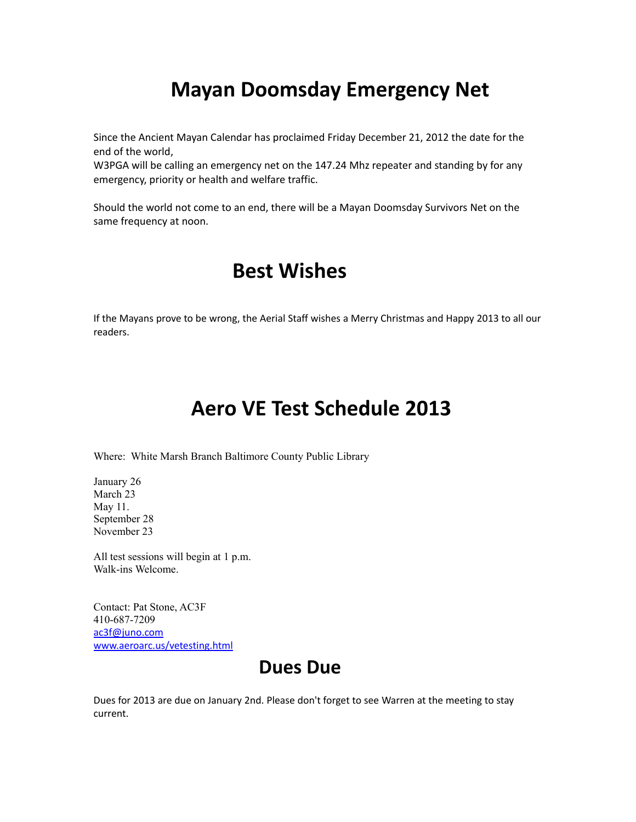# **Mayan Doomsday Emergency Net**

Since the Ancient Mayan Calendar has proclaimed Friday December 21, 2012 the date for the end of the world,

W3PGA will be calling an emergency net on the 147.24 Mhz repeater and standing by for any emergency, priority or health and welfare traffic.

Should the world not come to an end, there will be a Mayan Doomsday Survivors Net on the same frequency at noon.

## **Best Wishes**

If the Mayans prove to be wrong, the Aerial Staff wishes a Merry Christmas and Happy 2013 to all our readers.

# **Aero VE Test Schedule 2013**

Where: White Marsh Branch Baltimore County Public Library

January 26 March 23 May 11. September 28 November 23

All test sessions will begin at 1 p.m. Walk-ins Welcome.

Contact: Pat Stone, AC3F 410-687-7209 [ac3f@juno.com](mailto:ac3f@juno.com) [www.aeroarc.us/vetesting.html](http://www.aeroarc.us/vetesting.html)

## **Dues Due**

Dues for 2013 are due on January 2nd. Please don't forget to see Warren at the meeting to stay current.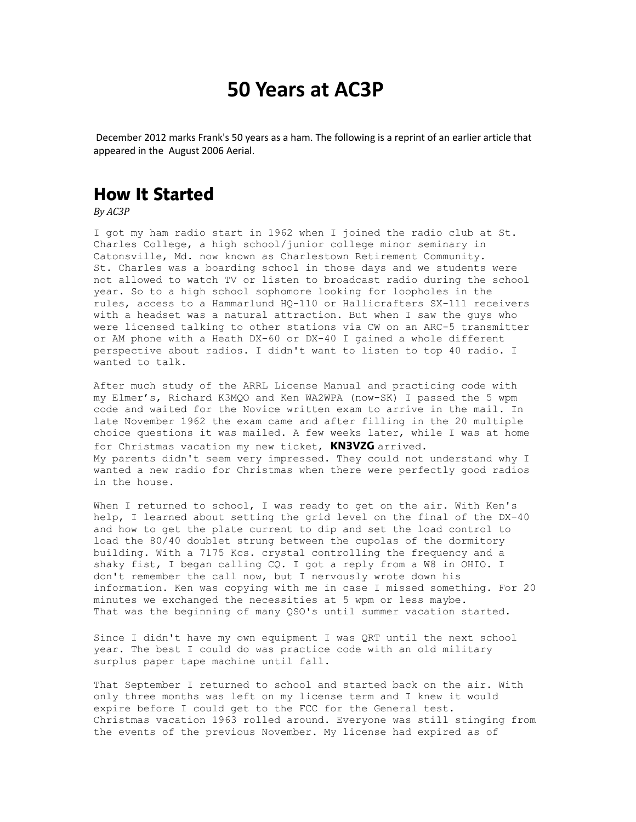## **50 Years at AC3P**

December 2012 marks Frank's 50 years as a ham. The following is a reprint of an earlier article that appeared in the August 2006 Aerial.

## How It Started

*By AC3P*

I got my ham radio start in 1962 when I joined the radio club at St. Charles College, a high school/junior college minor seminary in Catonsville, Md. now known as Charlestown Retirement Community. St. Charles was a boarding school in those days and we students were not allowed to watch TV or listen to broadcast radio during the school year. So to a high school sophomore looking for loopholes in the rules, access to a Hammarlund HQ-110 or Hallicrafters SX-111 receivers with a headset was a natural attraction. But when I saw the guys who were licensed talking to other stations via CW on an ARC-5 transmitter or AM phone with a Heath DX-60 or DX-40 I gained a whole different perspective about radios. I didn't want to listen to top 40 radio. I wanted to talk.

After much study of the ARRL License Manual and practicing code with my Elmer's, Richard K3MQO and Ken WA2WPA (now-SK) I passed the 5 wpm code and waited for the Novice written exam to arrive in the mail. In late November 1962 the exam came and after filling in the 20 multiple choice questions it was mailed. A few weeks later, while I was at home for Christmas vacation my new ticket, KN3VZG arrived. My parents didn't seem very impressed. They could not understand why I wanted a new radio for Christmas when there were perfectly good radios in the house.

When I returned to school, I was ready to get on the air. With Ken's help, I learned about setting the grid level on the final of the DX-40 and how to get the plate current to dip and set the load control to load the 80/40 doublet strung between the cupolas of the dormitory building. With a 7175 Kcs. crystal controlling the frequency and a shaky fist, I began calling CQ. I got a reply from a W8 in OHIO. I don't remember the call now, but I nervously wrote down his information. Ken was copying with me in case I missed something. For 20 minutes we exchanged the necessities at 5 wpm or less maybe. That was the beginning of many QSO's until summer vacation started.

Since I didn't have my own equipment I was QRT until the next school year. The best I could do was practice code with an old military surplus paper tape machine until fall.

That September I returned to school and started back on the air. With only three months was left on my license term and I knew it would expire before I could get to the FCC for the General test. Christmas vacation 1963 rolled around. Everyone was still stinging from the events of the previous November. My license had expired as of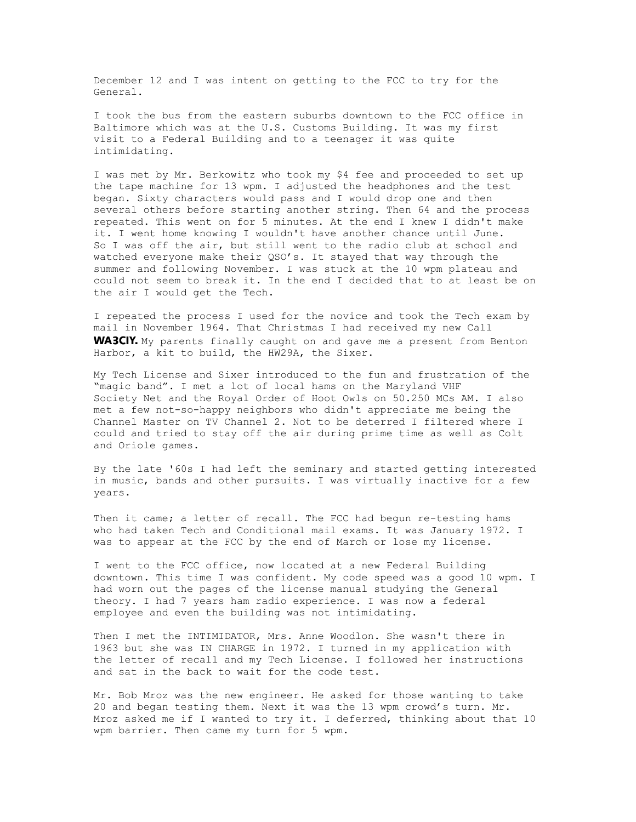December 12 and I was intent on getting to the FCC to try for the General.

I took the bus from the eastern suburbs downtown to the FCC office in Baltimore which was at the U.S. Customs Building. It was my first visit to a Federal Building and to a teenager it was quite intimidating.

I was met by Mr. Berkowitz who took my \$4 fee and proceeded to set up the tape machine for 13 wpm. I adjusted the headphones and the test began. Sixty characters would pass and I would drop one and then several others before starting another string. Then 64 and the process repeated. This went on for 5 minutes. At the end I knew I didn't make it. I went home knowing I wouldn't have another chance until June. So I was off the air, but still went to the radio club at school and watched everyone make their QSO's. It stayed that way through the summer and following November. I was stuck at the 10 wpm plateau and could not seem to break it. In the end I decided that to at least be on the air I would get the Tech.

I repeated the process I used for the novice and took the Tech exam by mail in November 1964. That Christmas I had received my new Call WA3CIY. My parents finally caught on and gave me a present from Benton Harbor, a kit to build, the HW29A, the Sixer.

My Tech License and Sixer introduced to the fun and frustration of the "magic band". I met a lot of local hams on the Maryland VHF Society Net and the Royal Order of Hoot Owls on 50.250 MCs AM. I also met a few not-so-happy neighbors who didn't appreciate me being the Channel Master on TV Channel 2. Not to be deterred I filtered where I could and tried to stay off the air during prime time as well as Colt and Oriole games.

By the late '60s I had left the seminary and started getting interested in music, bands and other pursuits. I was virtually inactive for a few years.

Then it came; a letter of recall. The FCC had begun re-testing hams who had taken Tech and Conditional mail exams. It was January 1972. I was to appear at the FCC by the end of March or lose my license.

I went to the FCC office, now located at a new Federal Building downtown. This time I was confident. My code speed was a good 10 wpm. I had worn out the pages of the license manual studying the General theory. I had 7 years ham radio experience. I was now a federal employee and even the building was not intimidating.

Then I met the INTIMIDATOR, Mrs. Anne Woodlon. She wasn't there in 1963 but she was IN CHARGE in 1972. I turned in my application with the letter of recall and my Tech License. I followed her instructions and sat in the back to wait for the code test.

Mr. Bob Mroz was the new engineer. He asked for those wanting to take 20 and began testing them. Next it was the 13 wpm crowd's turn. Mr. Mroz asked me if I wanted to try it. I deferred, thinking about that 10 wpm barrier. Then came my turn for 5 wpm.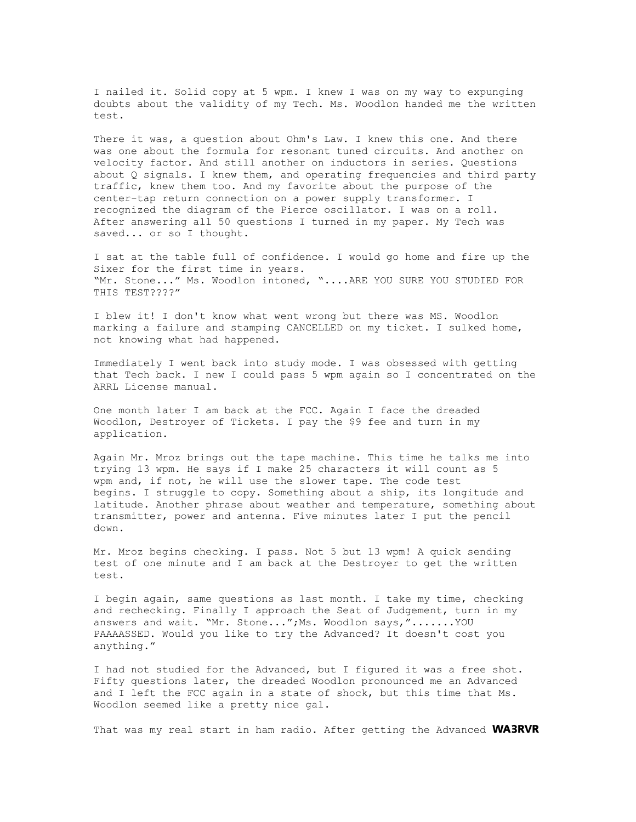I nailed it. Solid copy at 5 wpm. I knew I was on my way to expunging doubts about the validity of my Tech. Ms. Woodlon handed me the written test.

There it was, a question about Ohm's Law. I knew this one. And there was one about the formula for resonant tuned circuits. And another on velocity factor. And still another on inductors in series. Questions about Q signals. I knew them, and operating frequencies and third party traffic, knew them too. And my favorite about the purpose of the center-tap return connection on a power supply transformer. I recognized the diagram of the Pierce oscillator. I was on a roll. After answering all 50 questions I turned in my paper. My Tech was saved... or so I thought.

I sat at the table full of confidence. I would go home and fire up the Sixer for the first time in years. "Mr. Stone..." Ms. Woodlon intoned, "....ARE YOU SURE YOU STUDIED FOR THIS TEST????"

I blew it! I don't know what went wrong but there was MS. Woodlon marking a failure and stamping CANCELLED on my ticket. I sulked home, not knowing what had happened.

Immediately I went back into study mode. I was obsessed with getting that Tech back. I new I could pass 5 wpm again so I concentrated on the ARRL License manual.

One month later I am back at the FCC. Again I face the dreaded Woodlon, Destroyer of Tickets. I pay the \$9 fee and turn in my application.

Again Mr. Mroz brings out the tape machine. This time he talks me into trying 13 wpm. He says if I make 25 characters it will count as 5 wpm and, if not, he will use the slower tape. The code test begins. I struggle to copy. Something about a ship, its longitude and latitude. Another phrase about weather and temperature, something about transmitter, power and antenna. Five minutes later I put the pencil down.

Mr. Mroz begins checking. I pass. Not 5 but 13 wpm! A quick sending test of one minute and I am back at the Destroyer to get the written test.

I begin again, same questions as last month. I take my time, checking and rechecking. Finally I approach the Seat of Judgement, turn in my answers and wait. "Mr. Stone...";Ms. Woodlon says,".......YOU PAAAASSED. Would you like to try the Advanced? It doesn't cost you anything."

I had not studied for the Advanced, but I figured it was a free shot. Fifty questions later, the dreaded Woodlon pronounced me an Advanced and I left the FCC again in a state of shock, but this time that Ms. Woodlon seemed like a pretty nice gal.

That was my real start in ham radio. After getting the Advanced WA3RVR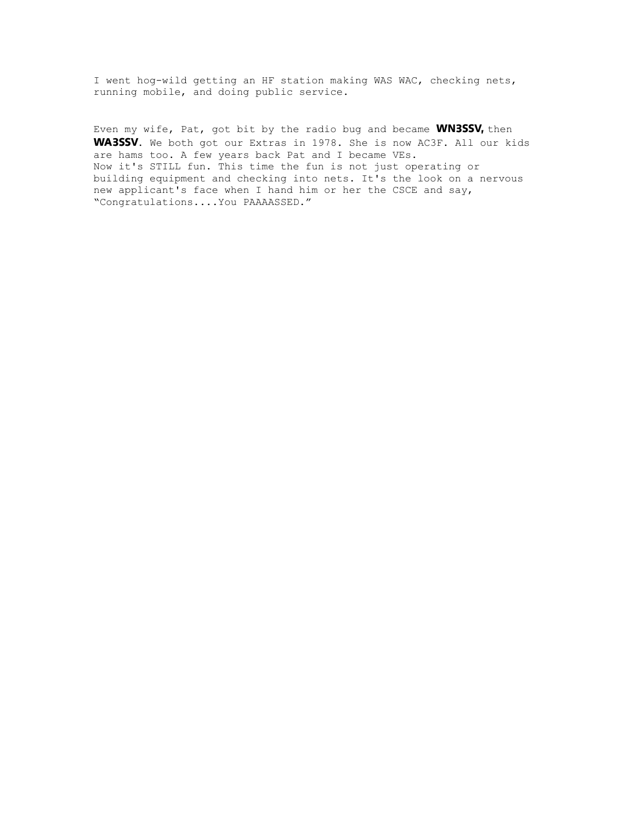I went hog-wild getting an HF station making WAS WAC, checking nets, running mobile, and doing public service.

Even my wife, Pat, got bit by the radio bug and became WN3SSV, then WA3SSV. We both got our Extras in 1978. She is now AC3F. All our kids are hams too. A few years back Pat and I became VEs. Now it's STILL fun. This time the fun is not just operating or building equipment and checking into nets. It's the look on a nervous new applicant's face when I hand him or her the CSCE and say, "Congratulations....You PAAAASSED."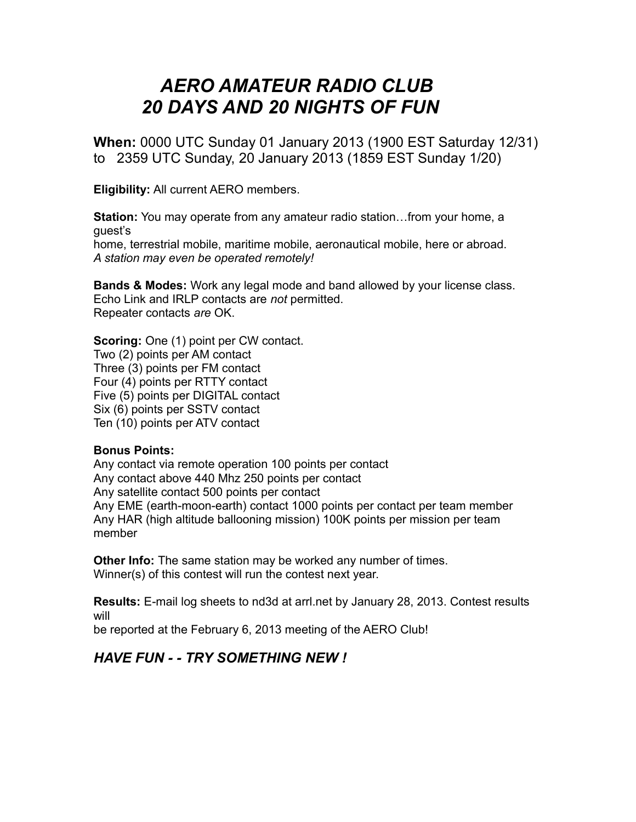## *AERO AMATEUR RADIO CLUB 20 DAYS AND 20 NIGHTS OF FUN*

**When:** 0000 UTC Sunday 01 January 2013 (1900 EST Saturday 12/31) to 2359 UTC Sunday, 20 January 2013 (1859 EST Sunday 1/20)

**Eligibility:** All current AERO members.

**Station:** You may operate from any amateur radio station…from your home, a guest's home, terrestrial mobile, maritime mobile, aeronautical mobile, here or abroad. *A station may even be operated remotely!*

**Bands & Modes:** Work any legal mode and band allowed by your license class. Echo Link and IRLP contacts are *not* permitted. Repeater contacts *are* OK.

**Scoring:** One (1) point per CW contact. Two (2) points per AM contact Three (3) points per FM contact Four (4) points per RTTY contact Five (5) points per DIGITAL contact Six (6) points per SSTV contact Ten (10) points per ATV contact

#### **Bonus Points:**

Any contact via remote operation 100 points per contact Any contact above 440 Mhz 250 points per contact Any satellite contact 500 points per contact Any EME (earth-moon-earth) contact 1000 points per contact per team member Any HAR (high altitude ballooning mission) 100K points per mission per team member

**Other Info:** The same station may be worked any number of times. Winner(s) of this contest will run the contest next year.

**Results:** E-mail log sheets to nd3d at arrl.net by January 28, 2013. Contest results will

be reported at the February 6, 2013 meeting of the AERO Club!

### *HAVE FUN - - TRY SOMETHING NEW !*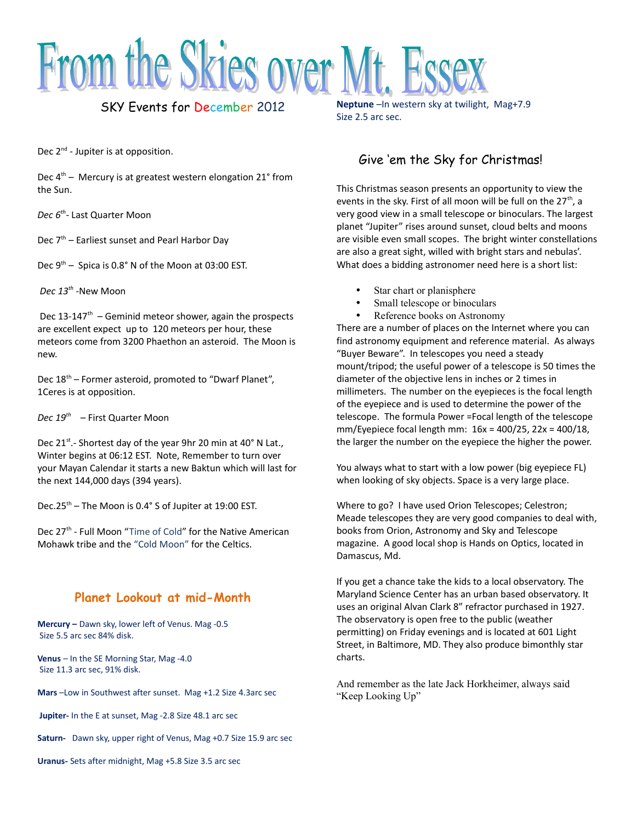

### SKY Events for December 2012

Dec 2<sup>nd</sup> - Jupiter is at opposition.

Dec  $4<sup>th</sup>$  – Mercury is at greatest western elongation 21° from the Sun.

*Dec 6th -* Last Quarter Moon

Dec  $7<sup>th</sup>$  – Earliest sunset and Pearl Harbor Day

Dec  $9<sup>th</sup>$  – Spica is 0.8° N of the Moon at 03:00 EST.

*Dec 13th -*New Moon

Dec  $13-147$ <sup>th</sup> – Geminid meteor shower, again the prospects are excellent expect up to 120 meteors per hour, these meteors come from 3200 Phaethon an asteroid. The Moon is new.

Dec 18<sup>th</sup> – Former asteroid, promoted to "Dwarf Planet", 1Ceres is at opposition.

*Dec 19th* – First Quarter Moon

Dec 21<sup>st</sup>.- Shortest day of the year 9hr 20 min at 40° N Lat., Winter begins at 06:12 EST. Note, Remember to turn over your Mayan Calendar it starts a new Baktun which will last for the next 144,000 days (394 years).

Dec.25<sup>th</sup> – The Moon is 0.4° S of Jupiter at 19:00 EST.

Dec 27<sup>th</sup> - Full Moon "Time of Cold" for the Native American Mohawk tribe and the "Cold Moon" for the Celtics.

### **Planet Lookout at mid-Month**

**Mercury –** Dawn sky, lower left of Venus. Mag -0.5 Size 5.5 arc sec 84% disk.

**Venus** – In the SE Morning Star, Mag -4.0 Size 11.3 arc sec, 91% disk.

**Mars** –Low in Southwest after sunset. Mag +1.2 Size 4.3arc sec

 **Jupiter-** In the E at sunset, Mag -2.8 Size 48.1 arc sec

**Saturn-** Dawn sky, upper right of Venus, Mag +0.7 Size 15.9 arc sec

**Neptune** – In western sky at twilight, Mag+7.9 Size 2.5 arc sec.

### Give 'em the Sky for Christmas!

This Christmas season presents an opportunity to view the events in the sky. First of all moon will be full on the  $27<sup>th</sup>$ , a very good view in a small telescope or binoculars. The largest planet "Jupiter" rises around sunset, cloud belts and moons are visible even small scopes. The bright winter constellations are also a great sight, willed with bright stars and nebulas'. What does a bidding astronomer need here is a short list:

- Star chart or planisphere
- Small telescope or binoculars
- Reference books on Astronomy

There are a number of places on the Internet where you can find astronomy equipment and reference material. As always "Buyer Beware". In telescopes you need a steady mount/tripod; the useful power of a telescope is 50 times the diameter of the objective lens in inches or 2 times in millimeters. The number on the eyepieces is the focal length of the eyepiece and is used to determine the power of the telescope. The formula Power =Focal length of the telescope mm/Eyepiece focal length mm: 16x = 400/25, 22x = 400/18, the larger the number on the eyepiece the higher the power.

You always what to start with a low power (big eyepiece FL) when looking of sky objects. Space is a very large place.

Where to go? I have used Orion Telescopes; Celestron; Meade telescopes they are very good companies to deal with, books from Orion, Astronomy and Sky and Telescope magazine. A good local shop is Hands on Optics, located in Damascus, Md.

If you get a chance take the kids to a local observatory. The Maryland Science Center has an urban based observatory. It uses an original Alvan Clark 8" refractor purchased in 1927. The observatory is open free to the public (weather permitting) on Friday evenings and is located at 601 Light Street, in Baltimore, MD. They also produce bimonthly star charts.

And remember as the late Jack Horkheimer, always said "Keep Looking Up"

**Uranus-** Sets after midnight, Mag +5.8 Size 3.5 arc sec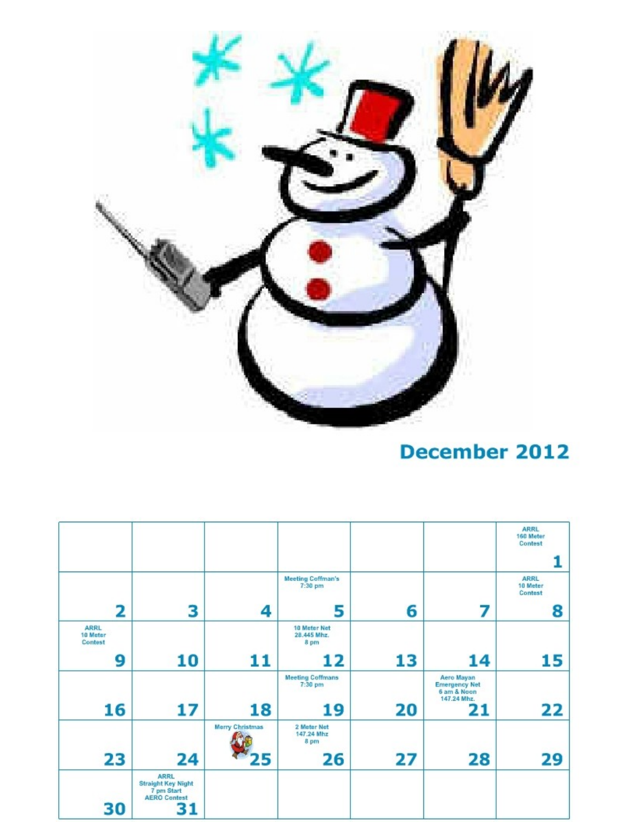

# **December 2012**